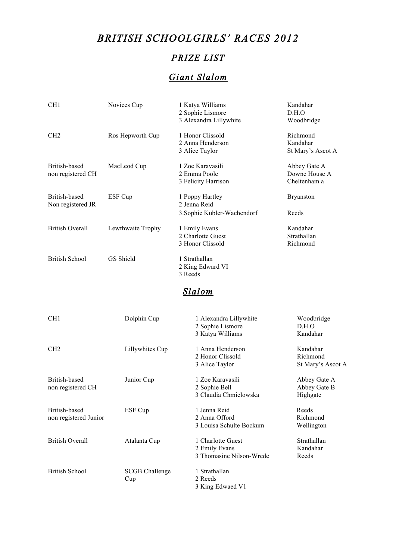# *BRITISH SCHOOLGIRLS' RACES 2012*

# *PRIZE LIST*

# *Giant Slalom*

| CH1                                    | Novices Cup                  | 1 Katya Williams<br>2 Sophie Lismore<br>3 Alexandra Lillywhite | Kandahar<br>D.H.O<br>Woodbridge               |  |
|----------------------------------------|------------------------------|----------------------------------------------------------------|-----------------------------------------------|--|
| CH <sub>2</sub>                        | Ros Hepworth Cup             | 1 Honor Clissold<br>2 Anna Henderson<br>3 Alice Taylor         | Richmond<br>Kandahar<br>St Mary's Ascot A     |  |
| British-based<br>non registered CH     | MacLeod Cup                  | 1 Zoe Karavasili<br>2 Emma Poole<br>3 Felicity Harrison        | Abbey Gate A<br>Downe House A<br>Cheltenham a |  |
| British-based<br>Non registered JR     | ESF Cup                      | 1 Poppy Hartley<br>2 Jenna Reid<br>3. Sophie Kubler-Wachendorf | <b>Bryanston</b><br>Reeds                     |  |
| <b>British Overall</b>                 | Lewthwaite Trophy            | 1 Emily Evans<br>2 Charlotte Guest<br>3 Honor Clissold         | Kandahar<br>Strathallan<br>Richmond           |  |
| <b>British School</b>                  | GS Shield                    | 1 Strathallan<br>2 King Edward VI<br>3 Reeds                   |                                               |  |
|                                        |                              | Slalom                                                         |                                               |  |
| CH <sub>1</sub>                        | Dolphin Cup                  | 1 Alexandra Lillywhite<br>2 Sophie Lismore<br>3 Katya Williams | Woodbridge<br>D.H.O<br>Kandahar               |  |
| CH <sub>2</sub>                        | Lillywhites Cup              | 1 Anna Henderson<br>2 Honor Clissold<br>3 Alice Taylor         | Kandahar<br>Richmond<br>St Mary's Ascot A     |  |
| British-based<br>non registered CH     | Junior Cup                   | 1 Zoe Karavasili<br>2 Sophie Bell<br>3 Claudia Chmielowska     | Abbey Gate A<br>Abbey Gate B<br>Highgate      |  |
| British-based<br>non registered Junior | ESF Cup                      | 1 Jenna Reid<br>2 Anna Offord<br>3 Louisa Schulte Bockum       | Reeds<br>Richmond<br>Wellington               |  |
| <b>British Overall</b>                 | Atalanta Cup                 | 1 Charlotte Guest<br>2 Emily Evans<br>3 Thomasine Nilson-Wrede | Strathallan<br>Kandahar<br>Reeds              |  |
| <b>British School</b>                  | <b>SCGB</b> Challenge<br>Cup | 1 Strathallan<br>2 Reeds<br>3 King Edwaed V1                   |                                               |  |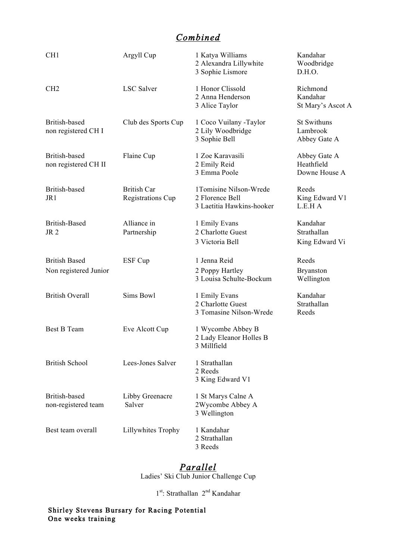## *Combined*

| CH1                                           | Argyll Cup                                     | 1 Katya Williams<br>2 Alexandra Lillywhite<br>3 Sophie Lismore         | Kandahar<br>Woodbridge<br>D.H.O.               |
|-----------------------------------------------|------------------------------------------------|------------------------------------------------------------------------|------------------------------------------------|
| CH <sub>2</sub>                               | <b>LSC</b> Salver                              | 1 Honor Clissold<br>2 Anna Henderson<br>3 Alice Taylor                 | Richmond<br>Kandahar<br>St Mary's Ascot A      |
| British-based<br>non registered CH I          | Club des Sports Cup                            | 1 Coco Vuilany -Taylor<br>2 Lily Woodbridge<br>3 Sophie Bell           | <b>St Swithuns</b><br>Lambrook<br>Abbey Gate A |
| British-based<br>non registered CH II         | Flaine Cup                                     | 1 Zoe Karavasili<br>2 Emily Reid<br>3 Emma Poole                       | Abbey Gate A<br>Heathfield<br>Downe House A    |
| British-based<br>JR1                          | <b>British Car</b><br><b>Registrations Cup</b> | 1Tomisine Nilson-Wrede<br>2 Florence Bell<br>3 Laetitia Hawkins-hooker | Reeds<br>King Edward V1<br>L.E.H A             |
| <b>British-Based</b><br>JR <sub>2</sub>       | Alliance in<br>Partnership                     | 1 Emily Evans<br>2 Charlotte Guest<br>3 Victoria Bell                  | Kandahar<br>Strathallan<br>King Edward Vi      |
| <b>British Based</b><br>Non registered Junior | ESF Cup                                        | 1 Jenna Reid<br>2 Poppy Hartley<br>3 Louisa Schulte-Bockum             | Reeds<br><b>Bryanston</b><br>Wellington        |
| <b>British Overall</b>                        | Sims Bowl                                      | 1 Emily Evans<br>2 Charlotte Guest<br>3 Tomasine Nilson-Wrede          | Kandahar<br>Strathallan<br>Reeds               |
| <b>Best B Team</b>                            | Eve Alcott Cup                                 | 1 Wycombe Abbey B<br>2 Lady Eleanor Holles B<br>3 Millfield            |                                                |
| <b>British School</b>                         | Lees-Jones Salver                              | 1 Strathallan<br>2 Reeds<br>3 King Edward V1                           |                                                |
| British-based<br>non-registered team          | Libby Greenacre<br>Salver                      | 1 St Marys Calne A<br>2Wycombe Abbey A<br>3 Wellington                 |                                                |
| Best team overall                             | Lillywhites Trophy                             | 1 Kandahar<br>2 Strathallan<br>3 Reeds                                 |                                                |

### *Parallel*

Ladies' Ski Club Junior Challenge Cup

1<sup>st</sup>: Strathallan 2<sup>nd</sup> Kandahar

Shirley Stevens Bursary for Racing Potential One weeks training